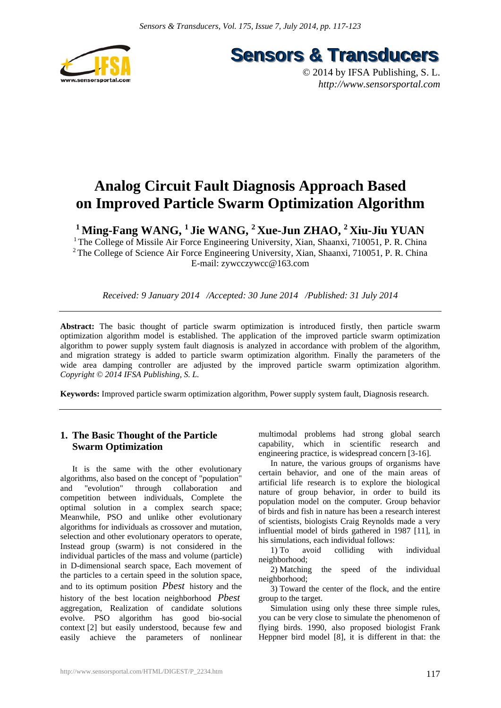

**Sensors & Transducers** 

© 2014 by IFSA Publishing, S. L. *http://www.sensorsportal.com*

# **Analog Circuit Fault Diagnosis Approach Based on Improved Particle Swarm Optimization Algorithm**

<sup>1</sup> Ming-Fang WANG, <sup>1</sup> Jie WANG, <sup>2</sup> Xue-Jun ZHAO, <sup>2</sup> Xiu-Jiu YUAN

<sup>1</sup> The College of Missile Air Force Engineering University, Xian, Shaanxi, 710051, P. R. China <sup>2</sup> The College of Science Air Force Engineering University, Xian, Shaanxi, 710051, P. R. China E-mail: zywcczywcc@163.com

*Received: 9 January 2014 /Accepted: 30 June 2014 /Published: 31 July 2014* 

**Abstract:** The basic thought of particle swarm optimization is introduced firstly, then particle swarm optimization algorithm model is established. The application of the improved particle swarm optimization algorithm to power supply system fault diagnosis is analyzed in accordance with problem of the algorithm, and migration strategy is added to particle swarm optimization algorithm. Finally the parameters of the wide area damping controller are adjusted by the improved particle swarm optimization algorithm. *Copyright © 2014 IFSA Publishing, S. L.*

**Keywords:** Improved particle swarm optimization algorithm, Power supply system fault, Diagnosis research.

## **1. The Basic Thought of the Particle Swarm Optimization**

It is the same with the other evolutionary algorithms, also based on the concept of "population" and "evolution" through collaboration and competition between individuals, Complete the optimal solution in a complex search space; Meanwhile, PSO and unlike other evolutionary algorithms for individuals as crossover and mutation, selection and other evolutionary operators to operate, Instead group (swarm) is not considered in the individual particles of the mass and volume (particle) in D-dimensional search space, Each movement of the particles to a certain speed in the solution space, and to its optimum position *Pbest* history and the history of the best location neighborhood *Pbest* aggregation, Realization of candidate solutions evolve. PSO algorithm has good bio-social context [2] but easily understood, because few and easily achieve the parameters of nonlinear

multimodal problems had strong global search capability, which in scientific research and engineering practice, is widespread concern [3-16].

In nature, the various groups of organisms have certain behavior, and one of the main areas of artificial life research is to explore the biological nature of group behavior, in order to build its population model on the computer. Group behavior of birds and fish in nature has been a research interest of scientists, biologists Craig Reynolds made a very influential model of birds gathered in 1987 [11], in his simulations, each individual follows:

1) To avoid colliding with individual neighborhood;

2) Matching the speed of the individual neighborhood;

3) Toward the center of the flock, and the entire group to the target.

Simulation using only these three simple rules, you can be very close to simulate the phenomenon of flying birds. 1990, also proposed biologist Frank Heppner bird model [8], it is different in that: the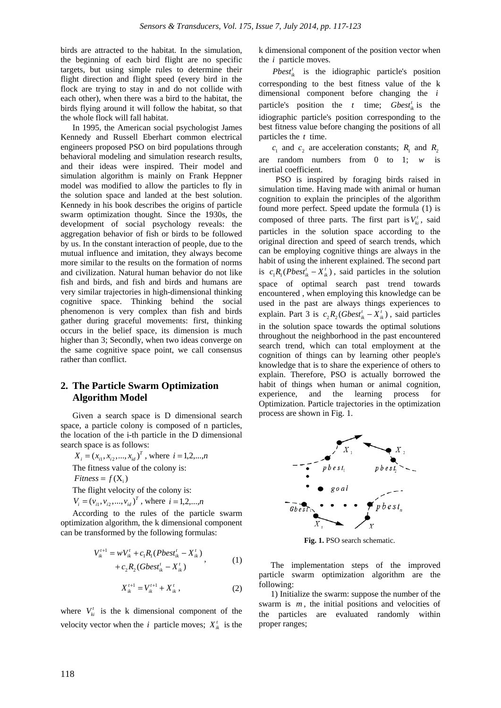birds are attracted to the habitat. In the simulation, the beginning of each bird flight are no specific targets, but using simple rules to determine their flight direction and flight speed (every bird in the flock are trying to stay in and do not collide with each other), when there was a bird to the habitat, the birds flying around it will follow the habitat, so that the whole flock will fall habitat.

In 1995, the American social psychologist James Kennedy and Russell Eberhart common electrical engineers proposed PSO on bird populations through behavioral modeling and simulation research results, and their ideas were inspired. Their model and simulation algorithm is mainly on Frank Heppner model was modified to allow the particles to fly in the solution space and landed at the best solution. Kennedy in his book describes the origins of particle swarm optimization thought. Since the 1930s, the development of social psychology reveals: the aggregation behavior of fish or birds to be followed by us. In the constant interaction of people, due to the mutual influence and imitation, they always become more similar to the results on the formation of norms and civilization. Natural human behavior do not like fish and birds, and fish and birds and humans are very similar trajectories in high-dimensional thinking cognitive space. Thinking behind the social phenomenon is very complex than fish and birds gather during graceful movements: first, thinking occurs in the belief space, its dimension is much higher than 3; Secondly, when two ideas converge on the same cognitive space point, we call consensus rather than conflict.

#### **2. The Particle Swarm Optimization Algorithm Model**

Given a search space is D dimensional search space, a particle colony is composed of n particles, the location of the i-th particle in the D dimensional search space is as follows:

 $X_i = (x_{i1}, x_{i2}, ..., x_{id})^T$ , where  $i = 1,2,...,n$ The fitness value of the colony is:  $Fitness = f(X_i)$ The flight velocity of the colony is:

 $V_i = (v_{i1}, v_{i2}, ..., v_{id})^T$ , where  $i = 1,2,...,n$ 

According to the rules of the particle swarm optimization algorithm, the k dimensional component can be transformed by the following formulas:

$$
V_{ik}^{t+1} = wV_{ik}^t + c_1R_1(Pbest_{ik}^t - X_{ik}^t) + c_2R_2(Gbest_{ik}^t - X_{ik}^t)
$$
 (1)

$$
X_{ik}^{t+1} = V_{ik}^{t+1} + X_{ik}^t \t\t(2)
$$

where  $V_{ki}^t$  is the k dimensional component of the velocity vector when the *i* particle moves;  $X_{ik}^t$  is the k dimensional component of the position vector when the *i* particle moves.

 $Pbest_{ik}^{t}$  is the idiographic particle's position corresponding to the best fitness value of the k dimensional component before changing the *i* particle's position the *t* time; *Gbest<sub>ik</sub>* is the idiographic particle's position corresponding to the best fitness value before changing the positions of all particles the *t* time.

 $c_1$  and  $c_2$  are acceleration constants;  $R_1$  and  $R_2$ are random numbers from 0 to 1; *w* is inertial coefficient.

PSO is inspired by foraging birds raised in simulation time. Having made with animal or human cognition to explain the principles of the algorithm found more perfect. Speed update the formula (1) is composed of three parts. The first part is  $V_{ki}^t$ , said particles in the solution space according to the original direction and speed of search trends, which can be employing cognitive things are always in the habit of using the inherent explained. The second part is  $c_1 R_1 (Pbest_{ik}^t - X_{ik}^t)$ , said particles in the solution space of optimal search past trend towards encountered , when employing this knowledge can be used in the past are always things experiences to explain. Part 3 is  $c_2 R_2 (Gbest_{ik}^t - X_{ik}^t)$ , said particles in the solution space towards the optimal solutions throughout the neighborhood in the past encountered search trend, which can total employment at the cognition of things can by learning other people's knowledge that is to share the experience of others to explain. Therefore, PSO is actually borrowed the habit of things when human or animal cognition, experience, and the learning process for Optimization. Particle trajectories in the optimization process are shown in Fig. 1.



**Fig. 1.** PSO search schematic.

The implementation steps of the improved particle swarm optimization algorithm are the following:

1) Initialize the swarm: suppose the number of the swarm is *m*, the initial positions and velocities of the particles are evaluated randomly within proper ranges;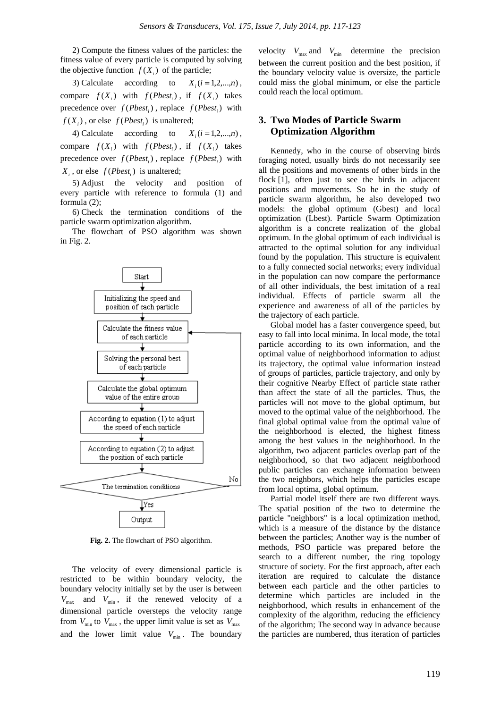2) Compute the fitness values of the particles: the fitness value of every particle is computed by solving the objective function  $f(X_i)$  of the particle;

3) Calculate according to  $X_i$   $(i = 1,2,...,n)$ , compare  $f(X_i)$  with  $f(Pbest_i)$ , if  $f(X_i)$  takes precedence over  $f(Pbest_i)$ , replace  $f(Pbest_i)$  with  $f(X_i)$ , or else  $f(Pbest_i)$  is unaltered;

4) Calculate according to  $X_i$   $(i = 1,2,...,n)$ , compare  $f(X_i)$  with  $f(Pbest_i)$ , if  $f(X_i)$  takes precedence over  $f(Pbest_i)$ , replace  $f(Pbest_i)$  with  $X_i$ , or else  $f(Pbest_i)$  is unaltered;

5) Adjust the velocity and position of every particle with reference to formula (1) and formula (2);

6) Check the termination conditions of the particle swarm optimization algorithm.

The flowchart of PSO algorithm was shown in Fig. 2.



**Fig. 2.** The flowchart of PSO algorithm.

The velocity of every dimensional particle is restricted to be within boundary velocity, the boundary velocity initially set by the user is between  $V_{\text{max}}$  and  $V_{\text{min}}$ , if the renewed velocity of a dimensional particle oversteps the velocity range from  $V_{\text{min}}$  to  $V_{\text{max}}$ , the upper limit value is set as  $V_{\text{max}}$ and the lower limit value  $V_{\text{min}}$ . The boundary

velocity  $V_{\text{max}}$  and  $V_{\text{min}}$  determine the precision between the current position and the best position, if the boundary velocity value is oversize, the particle could miss the global minimum, or else the particle could reach the local optimum.

#### **3. Two Modes of Particle Swarm Optimization Algorithm**

Kennedy, who in the course of observing birds foraging noted, usually birds do not necessarily see all the positions and movements of other birds in the flock [1], often just to see the birds in adjacent positions and movements. So he in the study of particle swarm algorithm, he also developed two models: the global optimum (Gbest) and local optimization (Lbest). Particle Swarm Optimization algorithm is a concrete realization of the global optimum. In the global optimum of each individual is attracted to the optimal solution for any individual found by the population. This structure is equivalent to a fully connected social networks; every individual in the population can now compare the performance of all other individuals, the best imitation of a real individual. Effects of particle swarm all the experience and awareness of all of the particles by the trajectory of each particle.

Global model has a faster convergence speed, but easy to fall into local minima. In local mode, the total particle according to its own information, and the optimal value of neighborhood information to adjust its trajectory, the optimal value information instead of groups of particles, particle trajectory, and only by their cognitive Nearby Effect of particle state rather than affect the state of all the particles. Thus, the particles will not move to the global optimum, but moved to the optimal value of the neighborhood. The final global optimal value from the optimal value of the neighborhood is elected, the highest fitness among the best values in the neighborhood. In the algorithm, two adjacent particles overlap part of the neighborhood, so that two adjacent neighborhood public particles can exchange information between the two neighbors, which helps the particles escape from local optima, global optimum.

Partial model itself there are two different ways. The spatial position of the two to determine the particle "neighbors" is a local optimization method, which is a measure of the distance by the distance between the particles; Another way is the number of methods, PSO particle was prepared before the search to a different number, the ring topology structure of society. For the first approach, after each iteration are required to calculate the distance between each particle and the other particles to determine which particles are included in the neighborhood, which results in enhancement of the complexity of the algorithm, reducing the efficiency of the algorithm; The second way in advance because the particles are numbered, thus iteration of particles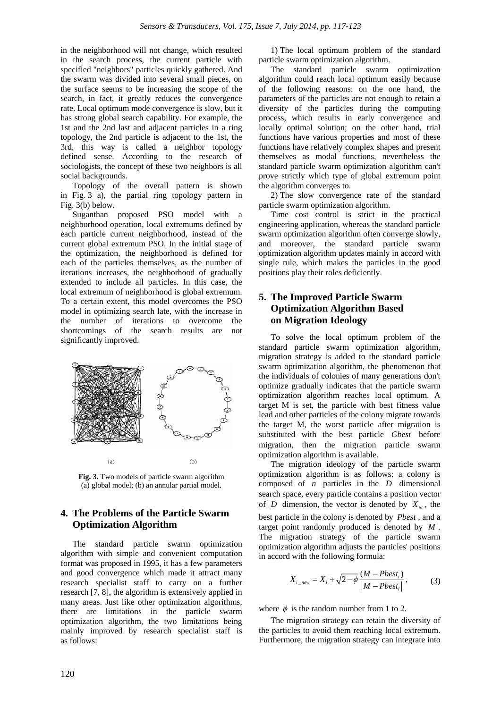in the neighborhood will not change, which resulted in the search process, the current particle with specified "neighbors" particles quickly gathered. And the swarm was divided into several small pieces, on the surface seems to be increasing the scope of the search, in fact, it greatly reduces the convergence rate. Local optimum mode convergence is slow, but it has strong global search capability. For example, the 1st and the 2nd last and adjacent particles in a ring topology, the 2nd particle is adjacent to the 1st, the 3rd, this way is called a neighbor topology defined sense. According to the research of sociologists, the concept of these two neighbors is all social backgrounds.

Topology of the overall pattern is shown in Fig. 3 a), the partial ring topology pattern in Fig. 3(b) below.

Suganthan proposed PSO model with a neighborhood operation, local extremums defined by each particle current neighborhood, instead of the current global extremum PSO. In the initial stage of the optimization, the neighborhood is defined for each of the particles themselves, as the number of iterations increases, the neighborhood of gradually extended to include all particles. In this case, the local extremum of neighborhood is global extremum. To a certain extent, this model overcomes the PSO model in optimizing search late, with the increase in the number of iterations to overcome the shortcomings of the search results are not significantly improved.



**Fig. 3.** Two models of particle swarm algorithm (a) global model; (b) an annular partial model.

## **4. The Problems of the Particle Swarm Optimization Algorithm**

The standard particle swarm optimization algorithm with simple and convenient computation format was proposed in 1995, it has a few parameters and good convergence which made it attract many research specialist staff to carry on a further research [7, 8], the algorithm is extensively applied in many areas. Just like other optimization algorithms, there are limitations in the particle swarm optimization algorithm, the two limitations being mainly improved by research specialist staff is as follows:

1) The local optimum problem of the standard particle swarm optimization algorithm.

The standard particle swarm optimization algorithm could reach local optimum easily because of the following reasons: on the one hand, the parameters of the particles are not enough to retain a diversity of the particles during the computing process, which results in early convergence and locally optimal solution; on the other hand, trial functions have various properties and most of these functions have relatively complex shapes and present themselves as modal functions, nevertheless the standard particle swarm optimization algorithm can't prove strictly which type of global extremum point the algorithm converges to.

2) The slow convergence rate of the standard particle swarm optimization algorithm.

Time cost control is strict in the practical engineering application, whereas the standard particle swarm optimization algorithm often converge slowly, and moreover, the standard particle swarm optimization algorithm updates mainly in accord with single rule, which makes the particles in the good positions play their roles deficiently.

## **5. The Improved Particle Swarm Optimization Algorithm Based on Migration Ideology**

To solve the local optimum problem of the standard particle swarm optimization algorithm, migration strategy is added to the standard particle swarm optimization algorithm, the phenomenon that the individuals of colonies of many generations don't optimize gradually indicates that the particle swarm optimization algorithm reaches local optimum. A target M is set, the particle with best fitness value lead and other particles of the colony migrate towards the target M, the worst particle after migration is substituted with the best particle *Gbest* before migration, then the migration particle swarm optimization algorithm is available.

The migration ideology of the particle swarm optimization algorithm is as follows: a colony is composed of *n* particles in the *D* dimensional search space, every particle contains a position vector of *D* dimension, the vector is denoted by  $X_{id}$ , the best particle in the colony is denoted by *Pbest* , and a target point randomly produced is denoted by *M* . The migration strategy of the particle swarm optimization algorithm adjusts the particles' positions in accord with the following formula:

$$
X_{i\_new} = X_i + \sqrt{2 - \phi} \frac{(M - Pbest_i)}{|M - Pbest_i|},
$$
 (3)

where  $\phi$  is the random number from 1 to 2.

The migration strategy can retain the diversity of the particles to avoid them reaching local extremum. Furthermore, the migration strategy can integrate into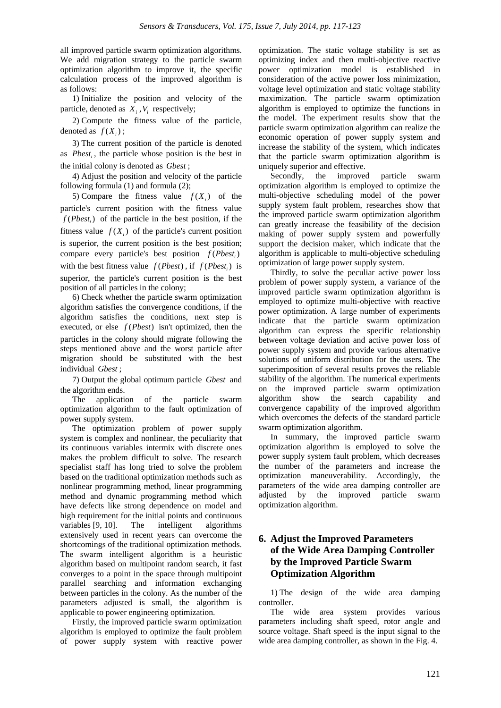all improved particle swarm optimization algorithms. We add migration strategy to the particle swarm optimization algorithm to improve it, the specific calculation process of the improved algorithm is as follows:

1) Initialize the position and velocity of the particle, denoted as  $X_i$ ,  $V_i$  respectively;

2) Compute the fitness value of the particle, denoted as  $f(X_i)$ ;

3) The current position of the particle is denoted as *Pbesti* , the particle whose position is the best in the initial colony is denoted as *Gbest* ;

4) Adjust the position and velocity of the particle following formula (1) and formula (2);

5) Compare the fitness value  $f(X_i)$  of the particle's current position with the fitness value  $f(Pbest_i)$  of the particle in the best position, if the fitness value  $f(X_i)$  of the particle's current position is superior, the current position is the best position; compare every particle's best position  $f(Pbest)$ with the best fitness value  $f(Pbest)$ , if  $f(Pbest)$  is superior, the particle's current position is the best position of all particles in the colony;

6) Check whether the particle swarm optimization algorithm satisfies the convergence conditions, if the algorithm satisfies the conditions, next step is executed, or else  $f(Pbest)$  isn't optimized, then the particles in the colony should migrate following the steps mentioned above and the worst particle after migration should be substituted with the best individual *Gbest* ;

7) Output the global optimum particle *Gbest* and the algorithm ends.

The application of the particle swarm optimization algorithm to the fault optimization of power supply system.

The optimization problem of power supply system is complex and nonlinear, the peculiarity that its continuous variables intermix with discrete ones makes the problem difficult to solve. The research specialist staff has long tried to solve the problem based on the traditional optimization methods such as nonlinear programming method, linear programming method and dynamic programming method which have defects like strong dependence on model and high requirement for the initial points and continuous variables [9, 10]. The intelligent algorithms extensively used in recent years can overcome the shortcomings of the traditional optimization methods. The swarm intelligent algorithm is a heuristic algorithm based on multipoint random search, it fast converges to a point in the space through multipoint parallel searching and information exchanging between particles in the colony. As the number of the parameters adjusted is small, the algorithm is applicable to power engineering optimization.

Firstly, the improved particle swarm optimization algorithm is employed to optimize the fault problem of power supply system with reactive power

optimization. The static voltage stability is set as optimizing index and then multi-objective reactive power optimization model is established in consideration of the active power loss minimization, voltage level optimization and static voltage stability maximization. The particle swarm optimization algorithm is employed to optimize the functions in the model. The experiment results show that the particle swarm optimization algorithm can realize the economic operation of power supply system and increase the stability of the system, which indicates that the particle swarm optimization algorithm is uniquely superior and effective.

Secondly, the improved particle swarm optimization algorithm is employed to optimize the multi-objective scheduling model of the power supply system fault problem, researches show that the improved particle swarm optimization algorithm can greatly increase the feasibility of the decision making of power supply system and powerfully support the decision maker, which indicate that the algorithm is applicable to multi-objective scheduling optimization of large power supply system.

Thirdly, to solve the peculiar active power loss problem of power supply system, a variance of the improved particle swarm optimization algorithm is employed to optimize multi-objective with reactive power optimization. A large number of experiments indicate that the particle swarm optimization algorithm can express the specific relationship between voltage deviation and active power loss of power supply system and provide various alternative solutions of uniform distribution for the users. The superimposition of several results proves the reliable stability of the algorithm. The numerical experiments on the improved particle swarm optimization algorithm show the search capability and convergence capability of the improved algorithm which overcomes the defects of the standard particle swarm optimization algorithm.

In summary, the improved particle swarm optimization algorithm is employed to solve the power supply system fault problem, which decreases the number of the parameters and increase the optimization maneuverability. Accordingly, the parameters of the wide area damping controller are adjusted by the improved particle swarm optimization algorithm.

## **6. Adjust the Improved Parameters of the Wide Area Damping Controller by the Improved Particle Swarm Optimization Algorithm**

1) The design of the wide area damping controller.

The wide area system provides various parameters including shaft speed, rotor angle and source voltage. Shaft speed is the input signal to the wide area damping controller, as shown in the Fig. 4.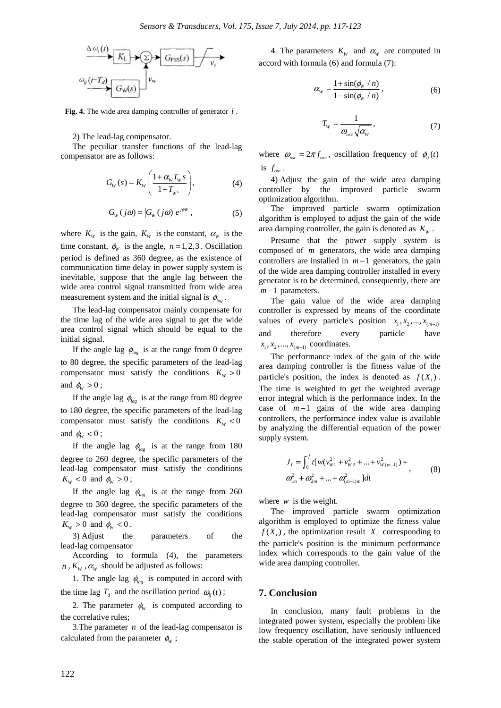

**Fig. 4.** The wide area damping controller of generator *i* .

2) The lead-lag compensator.

The peculiar transfer functions of the lead-lag compensator are as follows:

$$
G_{W}(s) = K_{W}\left(\frac{1+\alpha_{W}T_{W}s}{1+T_{W}s}\right),\tag{4}
$$

$$
G_W(j\omega) = |G_W(j\omega)|e^{j\phi W}, \qquad (5)
$$

where  $K_w$  is the gain,  $K_w$  is the constant,  $\alpha_w$  is the time constant,  $\phi_w$  is the angle,  $n = 1, 2, 3$ . Oscillation period is defined as 360 degree, as the existence of communication time delay in power supply system is inevitable, suppose that the angle lag between the wide area control signal transmitted from wide area measurement system and the initial signal is  $\phi_{\text{loc}}$ .

The lead-lag compensator mainly compensate for the time lag of the wide area signal to get the wide area control signal which should be equal to the initial signal.

If the angle lag  $\phi_{lag}$  is at the range from 0 degree to 80 degree, the specific parameters of the lead-lag compensator must satisfy the conditions  $K_w > 0$ and  $\phi_w > 0$ ;

If the angle lag  $\phi_{lag}$  is at the range from 80 degree to 180 degree, the specific parameters of the lead-lag compensator must satisfy the conditions  $K_w < 0$ and  $\phi_w$  < 0;

If the angle lag  $\phi_{\text{lag}}$  is at the range from 180 degree to 260 degree, the specific parameters of the lead-lag compensator must satisfy the conditions  $K_{W}$  < 0 and  $\phi_{W}$  > 0;

If the angle lag  $\phi_{\mu}$  is at the range from 260 degree to 360 degree, the specific parameters of the lead-lag compensator must satisfy the conditions  $K_w > 0$  and  $\phi_w < 0$ .

3) Adjust the parameters of the lead-lag compensator

According to formula (4), the parameters  $n$ ,  $K_w$ ,  $\alpha_w$  should be adjusted as follows:

1. The angle lag  $\phi_{lag}$  is computed in accord with the time lag  $T_d$  and the oscillation period  $\omega_{ii}(t)$ ;

2. The parameter  $\phi_w$  is computed according to the correlative rules;

3.The parameter *n* of the lead-lag compensator is calculated from the parameter  $\phi_w$ ;

4. The parameters  $K_w$  and  $\alpha_w$  are computed in accord with formula (6) and formula (7):

$$
\alpha_{\rm w} = \frac{1+\sin(\phi_{\rm w}/n)}{1-\sin(\phi_{\rm w}/n)},
$$
\n(6)

$$
T_{\rm w} = \frac{1}{\omega_{\rm osc}\sqrt{\alpha_{\rm w}}},\tag{7}
$$

where  $\omega_{osc} = 2\pi f_{osc}$ , oscillation frequency of  $\phi_{ij}(t)$ is  $f_{osc}$ .

4) Adjust the gain of the wide area damping controller by the improved particle swarm optimization algorithm.

The improved particle swarm optimization algorithm is employed to adjust the gain of the wide area damping controller, the gain is denoted as  $K<sub>w</sub>$ .

Presume that the power supply system is composed of *m* generators, the wide area damping controllers are installed in *m* −1 generators, the gain of the wide area damping controller installed in every generator is to be determined, consequently, there are *m* −1 parameters.

The gain value of the wide area damping controller is expressed by means of the coordinate values of every particle's position  $x_1, x_2, ..., x_{(m-1)}$ and therefore every particle have  $x_1, x_2, ..., x_{(m-1)}$  coordinates.

The performance index of the gain of the wide area damping controller is the fitness value of the particle's position, the index is denoted as  $f(X_i)$ . The time is weighted to get the weighted average error integral which is the performance index. In the case of *m* −1 gains of the wide area damping controllers, the performance index value is available by analyzing the differential equation of the power supply system.

$$
J_{I} = \int_{0}^{f} t[w(v_{W1}^{2} + v_{W2}^{2} + ... + v_{W(m-1)}^{2}) +\omega_{1m}^{2} + \omega_{2m}^{2} + ... + \omega_{(m-1)m}^{2})dt
$$
\n(8)

where *w* is the weight.

The improved particle swarm optimization algorithm is employed to optimize the fitness value  $f(X_i)$ , the optimization result  $X_i$  corresponding to the particle's position is the minimum performance index which corresponds to the gain value of the wide area damping controller.

#### **7. Conclusion**

In conclusion, many fault problems in the integrated power system, especially the problem like low frequency oscillation, have seriously influenced the stable operation of the integrated power system